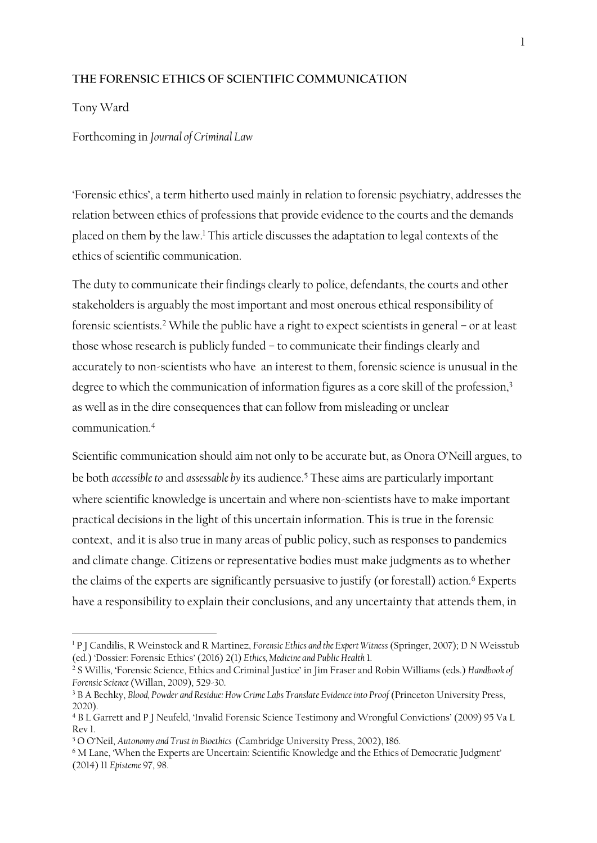## **THE FORENSIC ETHICS OF SCIENTIFIC COMMUNICATION**

Tony Ward

Forthcoming in *Journal of Criminal Law*

'Forensic ethics', a term hitherto used mainly in relation to forensic psychiatry, addresses the relation between ethics of professions that provide evidence to the courts and the demands placed on them by the law. <sup>1</sup> This article discusses the adaptation to legal contexts of the ethics of scientific communication.

The duty to communicate their findings clearly to police, defendants, the courts and other stakeholders is arguably the most important and most onerous ethical responsibility of forensic scientists. <sup>2</sup> While the public have a right to expect scientists in general – or at least those whose research is publicly funded – to communicate their findings clearly and accurately to non-scientists who have an interest to them, forensic science is unusual in the degree to which the communication of information figures as a core skill of the profession,<sup>3</sup> as well as in the dire consequences that can follow from misleading or unclear communication. 4

Scientific communication should aim not only to be accurate but, as Onora O'Neill argues, to be both *accessible to* and *assessable by* its audience. <sup>5</sup> These aims are particularly important where scientific knowledge is uncertain and where non-scientists have to make important practical decisions in the light of this uncertain information. This is true in the forensic context, and it is also true in many areas of public policy, such as responses to pandemics and climate change. Citizens or representative bodies must make judgments as to whether the claims of the experts are significantly persuasive to justify (or forestall) action.<sup>6</sup> Experts have a responsibility to explain their conclusions, and any uncertainty that attends them, in

<sup>1</sup> P J Candilis, R Weinstock and R Martinez, *Forensic Ethics and the Expert Witness* (Springer, 2007); D N Weisstub (ed.) 'Dossier: Forensic Ethics' (2016) 2(1) *Ethics, Medicine and Public Health* 1.

<sup>2</sup> S Willis, 'Forensic Science, Ethics and Criminal Justice' in Jim Fraser and Robin Williams (eds.) *Handbook of Forensic Science*(Willan, 2009), 529-30.

<sup>&</sup>lt;sup>3</sup> B A Bechky, *Blood, Powder and Residue: How Crime Labs Translate Evidence into Proof (Princeton University Press,* 2020).

<sup>4</sup> B L Garrett and P J Neufeld, 'Invalid Forensic Science Testimony and Wrongful Convictions' (2009) 95 Va L Rev 1.

<sup>5</sup> O O'Neil, *Autonomy and Trust in Bioethics* (Cambridge University Press, 2002), 186.

<sup>6</sup> M Lane, 'When the Experts are Uncertain: Scientific Knowledge and the Ethics of Democratic Judgment' (2014) 11 *Episteme* 97, 98.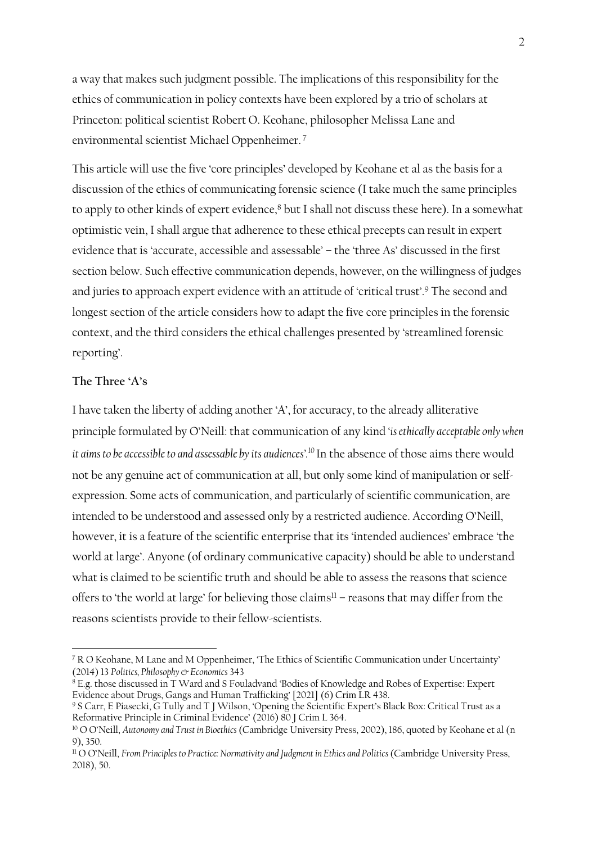a way that makes such judgment possible. The implications of this responsibility for the ethics of communication in policy contexts have been explored by a trio of scholars at Princeton: political scientist Robert O. Keohane, philosopher Melissa Lane and environmental scientist Michael Oppenheimer. 7

This article will use the five 'core principles' developed by Keohane et al as the basis for a discussion of the ethics of communicating forensic science (I take much the same principles to apply to other kinds of expert evidence,<sup>8</sup> but I shall not discuss these here). In a somewhat optimistic vein, I shall argue that adherence to these ethical precepts can result in expert evidence that is 'accurate, accessible and assessable' – the 'three As' discussed in the first section below. Such effective communication depends, however, on the willingness of judges and juries to approach expert evidence with an attitude of 'critical trust'.<sup>9</sup> The second and longest section of the article considers how to adapt the five core principles in the forensic context, and the third considers the ethical challenges presented by 'streamlined forensic reporting'.

# **The Three 'A's**

I have taken the liberty of adding another 'A', for accuracy, to the already alliterative principle formulated by O'Neill: that communication of any kind *'is ethically acceptable only when it aims to be accessible to and assessable by its audiences'.<sup>10</sup>* In the absence of those aims there would not be any genuine act of communication at all, but only some kind of manipulation or selfexpression. Some acts of communication, and particularly of scientific communication, are intended to be understood and assessed only by a restricted audience. According O'Neill, however, it is a feature of the scientific enterprise that its 'intended audiences' embrace 'the world at large'. Anyone (of ordinary communicative capacity) should be able to understand what is claimed to be scientific truth and should be able to assess the reasons that science offers to 'the world at large' for believing those claims<sup>11</sup> – reasons that may differ from the reasons scientists provide to their fellow-scientists.

<sup>7</sup> R O Keohane, M Lane and M Oppenheimer, 'The Ethics of Scientific Communication under Uncertainty' (2014) 13 *Politics, Philosophy & Economics* 343

 $8$  E.g. those discussed in T Ward and S Fouladvand 'Bodies of Knowledge and Robes of Expertise: Expert Evidence about Drugs, Gangs and Human Trafficking' [2021] (6) Crim LR 438.

<sup>9</sup> S Carr, E Piasecki, G Tully and T J Wilson, 'Opening the Scientific Expert's Black Box: Critical Trust as a Reformative Principle in Criminal Evidence' (2016) 80 J Crim L 364.

<sup>10</sup> O O'Neill, *Autonomy and Trust in Bioethics* (Cambridge University Press, 2002), 186, quoted by Keohane et al (n 9), 350.

<sup>11</sup> O O'Neill, *From Principles to Practice: Normativity and Judgment in Ethics and Politics* (Cambridge University Press, 2018), 50.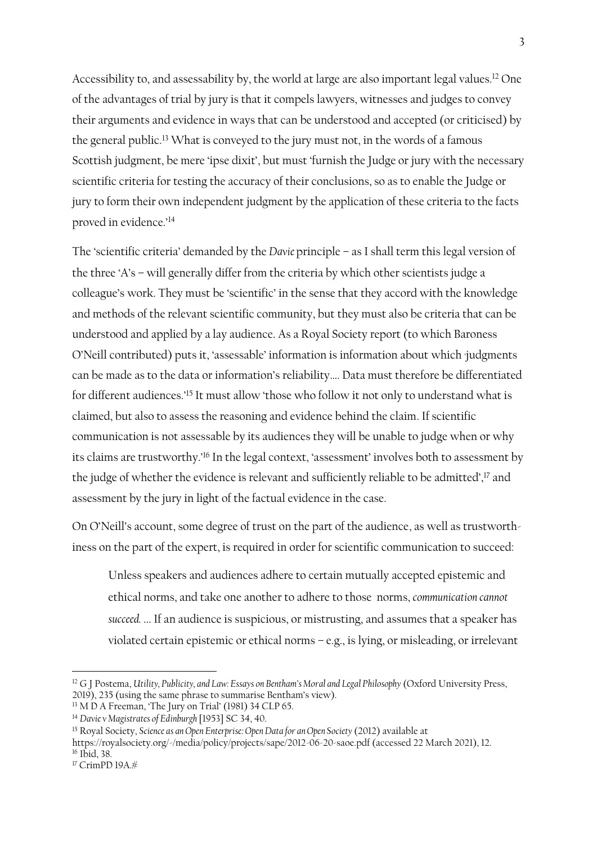Accessibility to, and assessability by, the world at large are also important legal values. <sup>12</sup> One of the advantages of trial by jury is that it compels lawyers, witnesses and judges to convey their arguments and evidence in ways that can be understood and accepted (or criticised) by the general public.<sup>13</sup> What is conveyed to the jury must not, in the words of a famous Scottish judgment, be mere 'ipse dixit', but must 'furnish the Judge or jury with the necessary scientific criteria for testing the accuracy of their conclusions, so as to enable the Judge or jury to form their own independent judgment by the application of these criteria to the facts proved in evidence.'<sup>14</sup>

The 'scientific criteria' demanded by the *Davie* principle – as I shall term this legal version of the three 'A's – will generally differ from the criteria by which other scientists judge a colleague's work. They must be 'scientific' in the sense that they accord with the knowledge and methods of the relevant scientific community, but they must also be criteria that can be understood and applied by a lay audience. As a Royal Society report (to which Baroness O'Neill contributed) puts it, 'assessable' information is information about which 'judgments can be made as to the data or information's reliability…. Data must therefore be differentiated for different audiences.'<sup>15</sup> It must allow 'those who follow it not only to understand what is claimed, but also to assess the reasoning and evidence behind the claim. If scientific communication is not assessable by its audiences they will be unable to judge when or why its claims are trustworthy.' <sup>16</sup> In the legal context, 'assessment' involves both to assessment by the judge of whether the evidence is relevant and sufficiently reliable to be admitted',<sup>17</sup> and assessment by the jury in light of the factual evidence in the case.

On O'Neill's account, some degree of trust on the part of the audience, as well as trustworthiness on the part of the expert, is required in order for scientific communication to succeed:

Unless speakers and audiences adhere to certain mutually accepted epistemic and ethical norms, and take one another to adhere to those norms, *communication cannot succeed.* ... If an audience is suspicious, or mistrusting, and assumes that a speaker has violated certain epistemic or ethical norms – e.g., is lying, or misleading, or irrelevant

<sup>12</sup> G J Postema, *Utility, Publicity, and Law: Essays on Bentham's Moral and Legal Philosophy* (Oxford University Press, 2019), 235 (using the same phrase to summarise Bentham's view).

<sup>&</sup>lt;sup>13</sup> M D A Freeman, 'The Jury on Trial' (1981) 34 CLP 65.

<sup>14</sup> *Davie v Magistrates of Edinburgh* [1953] SC 34, 40.

<sup>&</sup>lt;sup>15</sup> Royal Society, *Science as an Open Enterprise: Open Data for an Open Society (2012)* available at

https://royalsociety.org/-/media/policy/projects/sape/2012-06-20-saoe.pdf (accessed 22 March 2021), 12.  $16$  Ibid,  $38$ 

<sup>17</sup> CrimPD 19A.#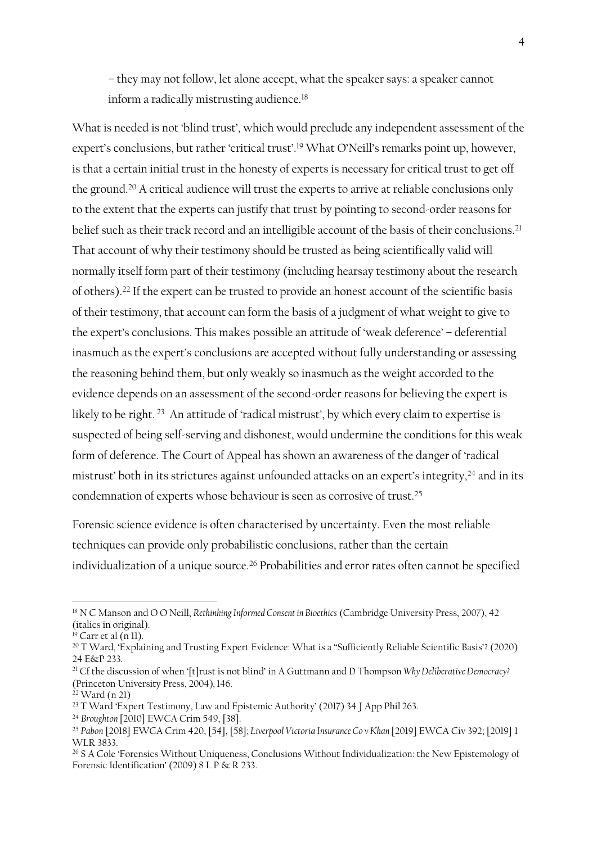– they may not follow, let alone accept, what the speaker says: a speaker cannot inform a radically mistrusting audience.<sup>18</sup>

What is needed is not 'blind trust', which would preclude any independent assessment of the expert's conclusions, but rather 'critical trust'. <sup>19</sup> What O'Neill's remarks point up, however, is that a certain initial trust in the honesty of experts is necessary for critical trust to get off the ground.<sup>20</sup> A critical audience will trust the experts to arrive at reliable conclusions only to the extent that the experts can justify that trust by pointing to second-order reasons for belief such as their track record and an intelligible account of the basis of their conclusions.<sup>21</sup> That account of why their testimony should be trusted as being scientifically valid will normally itself form part of their testimony (including hearsay testimony about the research of others). <sup>22</sup> If the expert can be trusted to provide an honest account of the scientific basis of their testimony, that account can form the basis of a judgment of what weight to give to the expert's conclusions. This makes possible an attitude of 'weak deference' – deferential inasmuch as the expert's conclusions are accepted without fully understanding or assessing the reasoning behind them, but only weakly so inasmuch as the weight accorded to the evidence depends on an assessment of the second-order reasons for believing the expert is likely to be right. <sup>23</sup> An attitude of 'radical mistrust', by which every claim to expertise is suspected of being self-serving and dishonest, would undermine the conditions for this weak form of deference. The Court of Appeal has shown an awareness of the danger of 'radical mistrust' both in its strictures against unfounded attacks on an expert's integrity,<sup>24</sup> and in its condemnation of experts whose behaviour is seen as corrosive of trust.<sup>25</sup>

Forensic science evidence is often characterised by uncertainty. Even the most reliable techniques can provide only probabilistic conclusions, rather than the certain individualization of a unique source. <sup>26</sup> Probabilities and error rates often cannot be specified

<sup>18</sup> N C Manson and O O'Neill, *Rethinking Informed Consent in Bioethics* (Cambridge University Press, 2007), 42 (italics in original).

 $19$  Carr et al (n 11).

<sup>&</sup>lt;sup>20</sup> T Ward, 'Explaining and Trusting Expert Evidence: What is a "Sufficiently Reliable Scientific Basis'? (2020) 24 E&P 233.

<sup>21</sup> Cf the discussion of when '[t]rust is not blind' in A Guttmann and D Thompson *Why Deliberative Democracy?*  (Princeton University Press, 2004)*,* 146.

 $22$  Ward (n 21)

<sup>&</sup>lt;sup>23</sup> T Ward 'Expert Testimony, Law and Epistemic Authority' (2017) 34 J App Phil 263.

<sup>24</sup> *Broughton* [2010] EWCA Crim 549, [38].

<sup>25</sup> *Pabon* [2018] EWCA Crim 420, [54], [58]; *Liverpool Victoria Insurance Co v Khan* [2019] EWCA Civ 392; [2019] 1 WI R 3833.

<sup>&</sup>lt;sup>26</sup> S A Cole 'Forensics Without Uniqueness, Conclusions Without Individualization: the New Epistemology of Forensic Identification' (2009) 8 L P  $\propto$  R 233.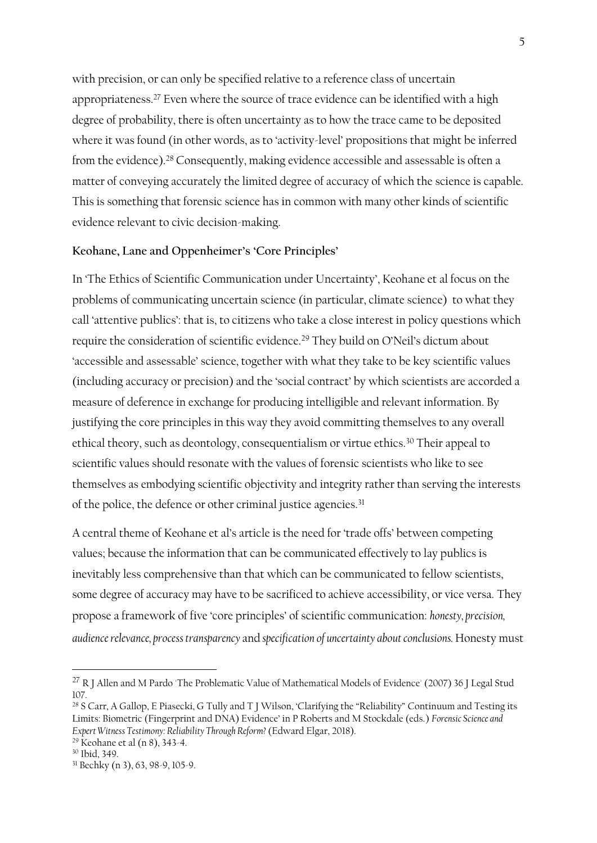with precision, or can only be specified relative to a reference class of uncertain appropriateness. <sup>27</sup> Even where the source of trace evidence can be identified with a high degree of probability, there is often uncertainty as to how the trace came to be deposited where it was found (in other words, as to 'activity-level' propositions that might be inferred from the evidence). <sup>28</sup> Consequently, making evidence accessible and assessable is often a matter of conveying accurately the limited degree of accuracy of which the science is capable. This is something that forensic science has in common with many other kinds of scientific evidence relevant to civic decision-making.

## **Keohane, Lane and Oppenheimer's 'Core Principles'**

In 'The Ethics of Scientific Communication under Uncertainty', Keohane et al focus on the problems of communicating uncertain science (in particular, climate science) to what they call 'attentive publics': that is, to citizens who take a close interest in policy questions which require the consideration of scientific evidence.<sup>29</sup> They build on O'Neil's dictum about 'accessible and assessable' science, together with what they take to be key scientific values (including accuracy or precision) and the 'social contract' by which scientists are accorded a measure of deference in exchange for producing intelligible and relevant information. By justifying the core principles in this way they avoid committing themselves to any overall ethical theory, such as deontology, consequentialism or virtue ethics.<sup>30</sup> Their appeal to scientific values should resonate with the values of forensic scientists who like to see themselves as embodying scientific objectivity and integrity rather than serving the interests of the police, the defence or other criminal justice agencies.<sup>31</sup>

A central theme of Keohane et al's article is the need for 'trade offs' between competing values; because the information that can be communicated effectively to lay publics is inevitably less comprehensive than that which can be communicated to fellow scientists, some degree of accuracy may have to be sacrificed to achieve accessibility, or vice versa. They propose a framework of five 'core principles' of scientific communication: *honesty, precision, audience relevance, process transparency* and *specification of uncertainty about conclusions.* Honesty must

<sup>&</sup>lt;sup>27</sup> R J Allen and M Pardo 'The Problematic Value of Mathematical Models of Evidence' (2007) 36 J Legal Stud 107.

<sup>&</sup>lt;sup>28</sup> S Carr, A Gallop, E Piasecki, G Tully and T J Wilson, 'Clarifying the "Reliability" Continuum and Testing its Limits: Biometric (Fingerprint and DNA) Evidence' in P Roberts and M Stockdale (eds.) *Forensic Science and Expert Witness Testimony: Reliability Through Reform?* (Edward Elgar, 2018).

<sup>29</sup> Keohane et al (n 8), 343-4.

<sup>30</sup> Ibid, 349.

<sup>31</sup> Bechky (n 3), 63, 98-9, 105-9.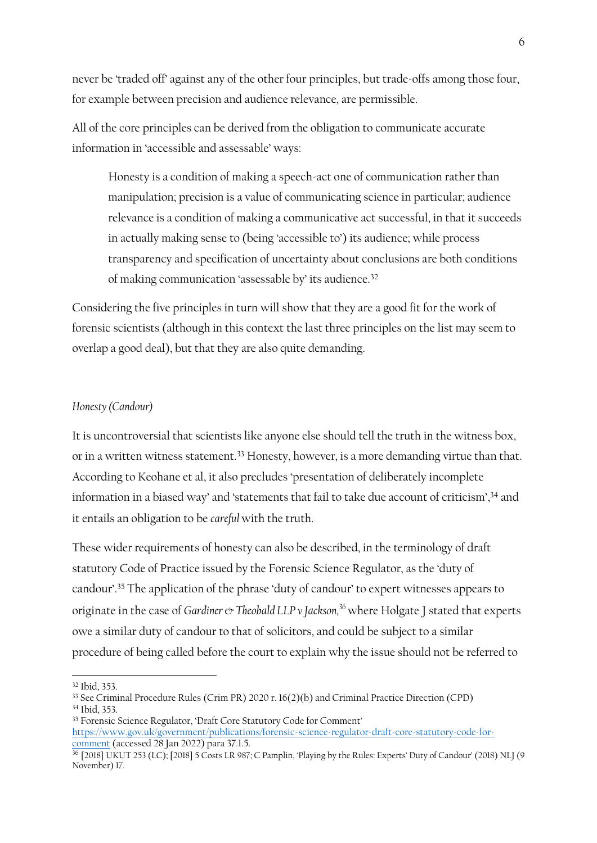never be 'traded off' against any of the other four principles, but trade-offs among those four, for example between precision and audience relevance, are permissible.

All of the core principles can be derived from the obligation to communicate accurate information in 'accessible and assessable' ways:

Honesty is a condition of making a speech-act one of communication rather than manipulation; precision is a value of communicating science in particular; audience relevance is a condition of making a communicative act successful, in that it succeeds in actually making sense to (being 'accessible to') its audience; while process transparency and specification of uncertainty about conclusions are both conditions of making communication 'assessable by' its audience.<sup>32</sup>

Considering the five principles in turn will show that they are a good fit for the work of forensic scientists (although in this context the last three principles on the list may seem to overlap a good deal), but that they are also quite demanding.

## *Honesty (Candour)*

It is uncontroversial that scientists like anyone else should tell the truth in the witness box, or in a written witness statement.<sup>33</sup> Honesty, however, is a more demanding virtue than that. According to Keohane et al, it also precludes 'presentation of deliberately incomplete information in a biased way' and 'statements that fail to take due account of criticism', <sup>34</sup> and it entails an obligation to be *careful* with the truth.

These wider requirements of honesty can also be described, in the terminology of draft statutory Code of Practice issued by the Forensic Science Regulator, as the 'duty of candour'.<sup>35</sup> The application of the phrase 'duty of candour' to expert witnesses appears to originate in the case of *Gardiner* & Theobald LLP v Jackson,<sup>36</sup> where Holgate J stated that experts owe a similar duty of candour to that of solicitors, and could be subject to a similar procedure of being called before the court to explain why the issue should not be referred to

<sup>32</sup> Ibid, 353.

<sup>33</sup> See Criminal Procedure Rules (Crim PR) 2020 r. 16(2)(b) and Criminal Practice Direction (CPD) <sup>34</sup> Ibid, 353.

<sup>35</sup> Forensic Science Regulator, 'Draft Core Statutory Code for Comment' [https://www.gov.uk/government/publications/forensic-science-regulator-draft-core-statutory-code-for](https://www.gov.uk/government/publications/forensic-science-regulator-draft-core-statutory-code-for-comment)[comment](https://www.gov.uk/government/publications/forensic-science-regulator-draft-core-statutory-code-for-comment) (accessed 28 Jan 2022) para 37.1.5.

<sup>&</sup>lt;sup>36</sup> [2018] UKUT 253 (LC); [2018] 5 Costs LR 987; C Pamplin, 'Playing by the Rules: Experts' Duty of Candour' (2018) NLJ (9 November) 17.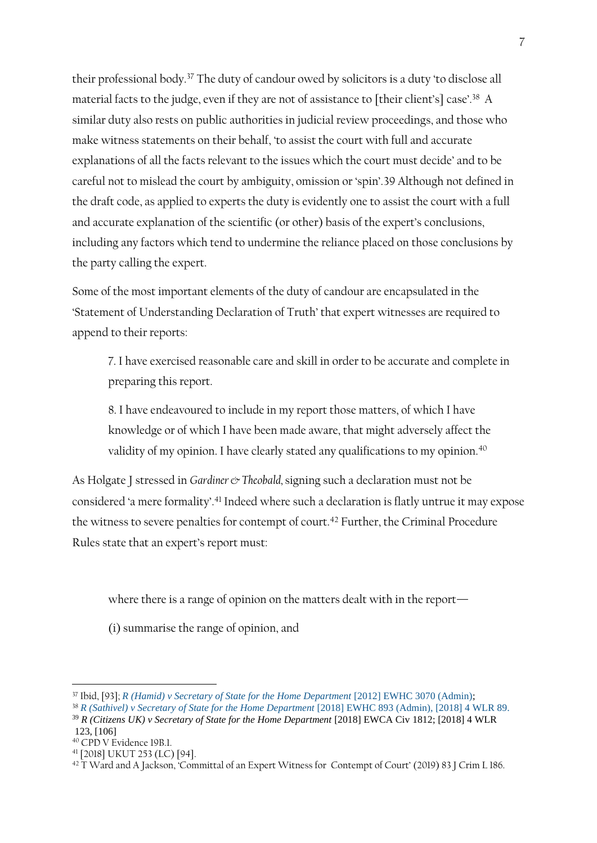their professional body.<sup>37</sup> The duty of candour owed by solicitors is a duty 'to disclose all material facts to the judge, even if they are not of assistance to [their client's] case'. <sup>38</sup> A similar duty also rests on public authorities in judicial review proceedings, and those who make witness statements on their behalf, 'to assist the court with full and accurate explanations of all the facts relevant to the issues which the court must decide' and to be careful not to mislead the court by ambiguity, omission or 'spin'.39 Although not defined in the draft code, as applied to experts the duty is evidently one to assist the court with a full and accurate explanation of the scientific (or other) basis of the expert's conclusions, including any factors which tend to undermine the reliance placed on those conclusions by the party calling the expert.

Some of the most important elements of the duty of candour are encapsulated in the 'Statement of Understanding Declaration of Truth' that expert witnesses are required to append to their reports:

7. I have exercised reasonable care and skill in order to be accurate and complete in preparing this report.

8. I have endeavoured to include in my report those matters, of which I have knowledge or of which I have been made aware, that might adversely affect the validity of my opinion. I have clearly stated any qualifications to my opinion.<sup>40</sup>

As Holgate J stressed in *Gardiner* & Theobald, signing such a declaration must not be considered 'a mere formality'. <sup>41</sup> Indeed where such a declaration is flatly untrue it may expose the witness to severe penalties for contempt of court.<sup>42</sup> Further, the Criminal Procedure Rules state that an expert's report must:

where there is a range of opinion on the matters dealt with in the report—

(i) summarise the range of opinion, and

<sup>37</sup> Ibid, [93]; *[R \(Hamid\) v Secretary of State for the Home Department](http://uk.westlaw.com/Document/I6E684BB0288011E2BF05D2E0253BE0C7/View/FullText.html?originationContext=document&transitionType=DocumentItem&vr=3.0&rs=PLUK1.0&contextData=(sc.Search))* [2012] EWHC 3070 (Admin);

<sup>&</sup>lt;sup>38</sup> *R* (Sathivel) v Secretary of State for the Home Department [2018] EWHC 893 (Admin), [2018] 4 WLR 89.

<sup>39</sup> *R (Citizens UK) v Secretary of State for the Home Department* [2018] EWCA Civ 1812; [2018] 4 WLR 123, [106]

<sup>40</sup> CPD V Evidence 19B.1.

<sup>41</sup> [2018] UKUT 253 (LC) [94].

<sup>&</sup>lt;sup>42</sup> T Ward and A Jackson, 'Committal of an Expert Witness for Contempt of Court' (2019) 83 J Crim L 186.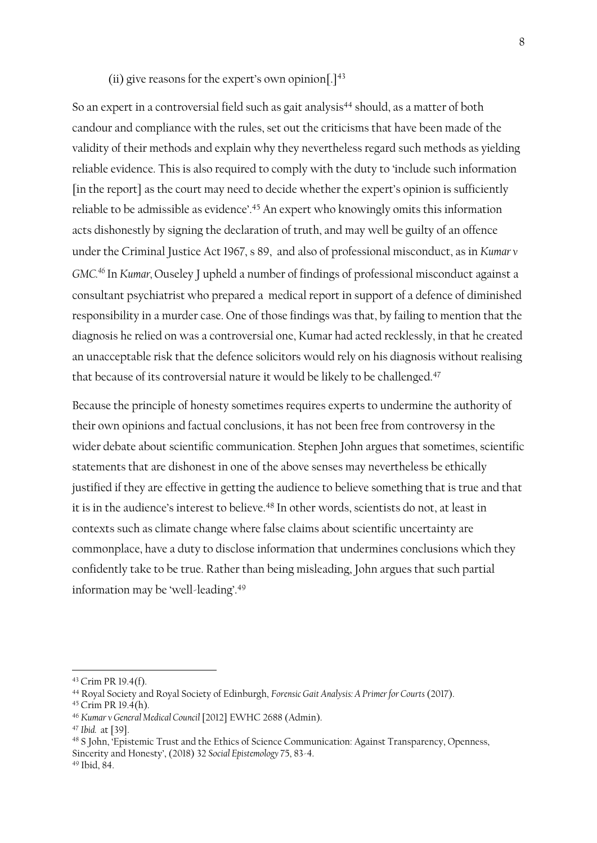#### (ii) give reasons for the expert's own opinion $[.]^{43}$

So an expert in a controversial field such as gait analysis<sup>44</sup> should, as a matter of both candour and compliance with the rules, set out the criticisms that have been made of the validity of their methods and explain why they nevertheless regard such methods as yielding reliable evidence. This is also required to comply with the duty to 'include such information [in the report] as the court may need to decide whether the expert's opinion is sufficiently reliable to be admissible as evidence'.<sup>45</sup> An expert who knowingly omits this information acts dishonestly by signing the declaration of truth, and may well be guilty of an offence under the Criminal Justice Act 1967, s 89, and also of professional misconduct, as in *Kumar v GMC. <sup>46</sup>* In *Kumar,* Ouseley J upheld a number of findings of professional misconduct against a consultant psychiatrist who prepared a medical report in support of a defence of diminished responsibility in a murder case. One of those findings was that, by failing to mention that the diagnosis he relied on was a controversial one, Kumar had acted recklessly, in that he created an unacceptable risk that the defence solicitors would rely on his diagnosis without realising that because of its controversial nature it would be likely to be challenged.<sup>47</sup>

Because the principle of honesty sometimes requires experts to undermine the authority of their own opinions and factual conclusions, it has not been free from controversy in the wider debate about scientific communication. Stephen John argues that sometimes, scientific statements that are dishonest in one of the above senses may nevertheless be ethically justified if they are effective in getting the audience to believe something that is true and that it is in the audience's interest to believe.<sup>48</sup> In other words, scientists do not, at least in contexts such as climate change where false claims about scientific uncertainty are commonplace, have a duty to disclose information that undermines conclusions which they confidently take to be true. Rather than being misleading, John argues that such partial information may be 'well-leading'. 49

<sup>43</sup> Crim PR 19.4(f).

<sup>44</sup> Royal Society and Royal Society of Edinburgh, *Forensic Gait Analysis: A Primer for Courts* (2017).

<sup>45</sup> Crim PR 19.4(h).

<sup>46</sup> *Kumar v General Medical Council* [2012] EWHC 2688 (Admin).

<sup>47</sup> *Ibid.* at [39].

<sup>48</sup> S John, 'Epistemic Trust and the Ethics of Science Communication: Against Transparency, Openness, Sincerity and Honesty', (2018) 32 *Social Epistemology* 75, 83-4.

<sup>49</sup> Ibid, 84.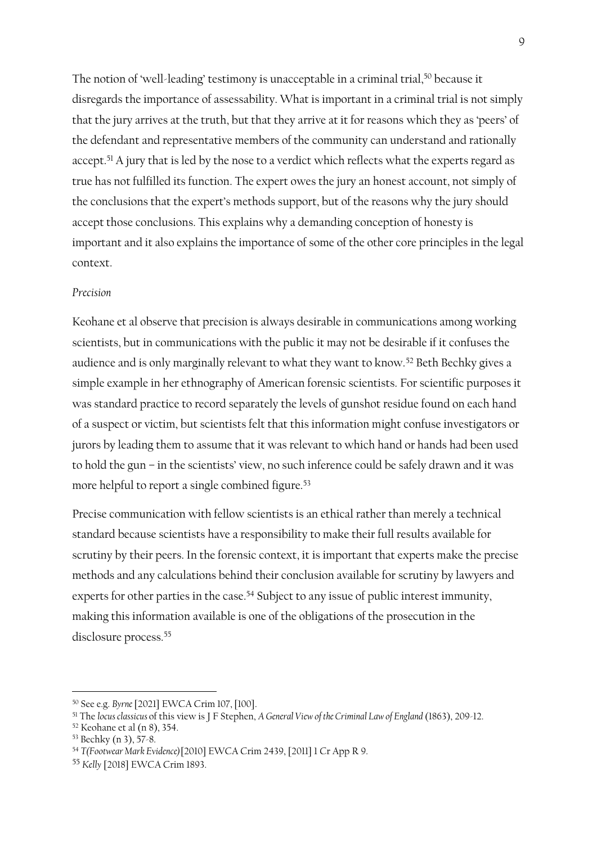The notion of 'well-leading' testimony is unacceptable in a criminal trial, <sup>50</sup> because it disregards the importance of assessability. What is important in a criminal trial is not simply that the jury arrives at the truth, but that they arrive at it for reasons which they as 'peers' of the defendant and representative members of the community can understand and rationally accept.<sup>51</sup> A jury that is led by the nose to a verdict which reflects what the experts regard as true has not fulfilled its function. The expert owes the jury an honest account, not simply of the conclusions that the expert's methods support, but of the reasons why the jury should accept those conclusions. This explains why a demanding conception of honesty is important and it also explains the importance of some of the other core principles in the legal context.

### *Precision*

Keohane et al observe that precision is always desirable in communications among working scientists, but in communications with the public it may not be desirable if it confuses the audience and is only marginally relevant to what they want to know.<sup>52</sup> Beth Bechky gives a simple example in her ethnography of American forensic scientists. For scientific purposes it was standard practice to record separately the levels of gunshot residue found on each hand of a suspect or victim, but scientists felt that this information might confuse investigators or jurors by leading them to assume that it was relevant to which hand or hands had been used to hold the gun – in the scientists' view, no such inference could be safely drawn and it was more helpful to report a single combined figure.<sup>53</sup>

Precise communication with fellow scientists is an ethical rather than merely a technical standard because scientists have a responsibility to make their full results available for scrutiny by their peers. In the forensic context, it is important that experts make the precise methods and any calculations behind their conclusion available for scrutiny by lawyers and experts for other parties in the case.<sup>54</sup> Subject to any issue of public interest immunity, making this information available is one of the obligations of the prosecution in the disclosure process.<sup>55</sup>

<sup>50</sup> See e.g. *Byrne*[2021] EWCA Crim 107, [100].

<sup>51</sup> The *locus classicus* of this view is J F Stephen, *A General View of the Criminal Law of England* (1863), 209-12.

<sup>52</sup> Keohane et al (n 8), 354.

<sup>53</sup> Bechky (n 3), 57-8.

<sup>54</sup> *T(Footwear Mark Evidence)*[2010] EWCA Crim 2439, [2011] 1 Cr App R 9.

<sup>55</sup> *Kelly* [2018] EWCA Crim 1893.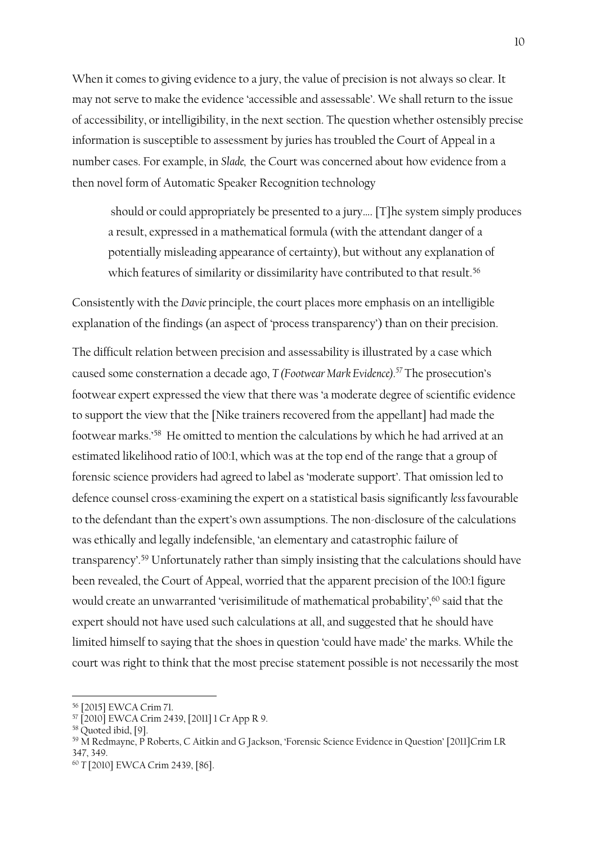When it comes to giving evidence to a jury, the value of precision is not always so clear. It may not serve to make the evidence 'accessible and assessable'. We shall return to the issue of accessibility, or intelligibility, in the next section. The question whether ostensibly precise information is susceptible to assessment by juries has troubled the Court of Appeal in a number cases. For example, in *Slade,* the Court was concerned about how evidence from a then novel form of Automatic Speaker Recognition technology

should or could appropriately be presented to a jury…. [T]he system simply produces a result, expressed in a mathematical formula (with the attendant danger of a potentially misleading appearance of certainty), but without any explanation of which features of similarity or dissimilarity have contributed to that result.<sup>56</sup>

Consistently with the *Davie* principle, the court places more emphasis on an intelligible explanation of the findings (an aspect of 'process transparency') than on their precision. The difficult relation between precision and assessability is illustrated by a case which caused some consternation a decade ago, *T (Footwear Mark Evidence).<sup>57</sup>* The prosecution's footwear expert expressed the view that there was 'a moderate degree of scientific evidence to support the view that the [Nike trainers recovered from the appellant] had made the footwear marks.'<sup>58</sup> He omitted to mention the calculations by which he had arrived at an estimated likelihood ratio of 100:1, which was at the top end of the range that a group of forensic science providers had agreed to label as 'moderate support'. That omission led to defence counsel cross-examining the expert on a statistical basis significantly *less* favourable to the defendant than the expert's own assumptions. The non-disclosure of the calculations was ethically and legally indefensible, 'an elementary and catastrophic failure of transparency'. <sup>59</sup> Unfortunately rather than simply insisting that the calculations should have been revealed, the Court of Appeal, worried that the apparent precision of the 100:1 figure would create an unwarranted 'verisimilitude of mathematical probability', <sup>60</sup> said that the expert should not have used such calculations at all, and suggested that he should have limited himself to saying that the shoes in question 'could have made' the marks. While the court was right to think that the most precise statement possible is not necessarily the most

<sup>56</sup> [2015] EWCA Crim 71.

<sup>57</sup> [2010] EWCA Crim 2439, [2011] 1 Cr App R 9.

<sup>58</sup> Quoted ibid, [9].

<sup>59</sup> M Redmayne, P Roberts, C Aitkin and G Jackson, 'Forensic Science Evidence in Question' [2011]Crim LR 347, 349.

<sup>60</sup> *T* [2010] EWCA Crim 2439, [86].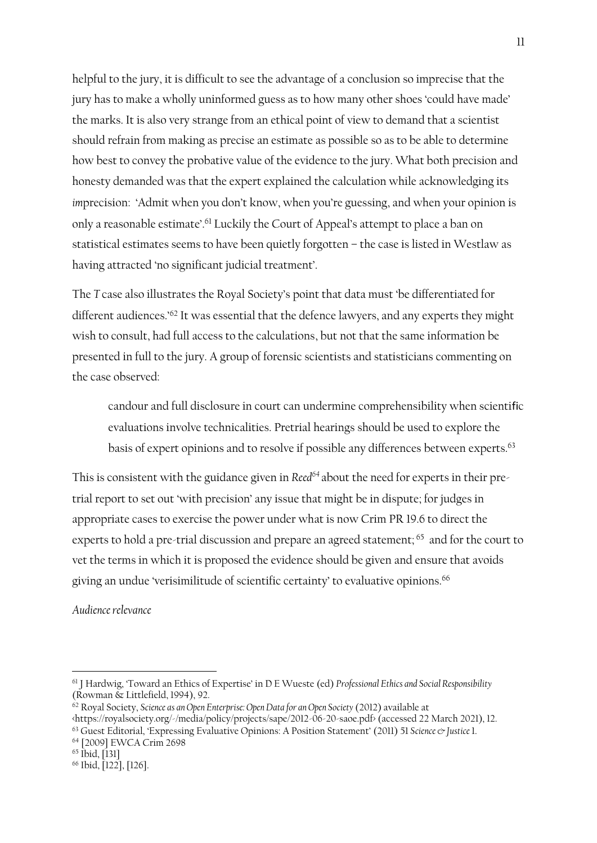helpful to the jury, it is difficult to see the advantage of a conclusion so imprecise that the jury has to make a wholly uninformed guess as to how many other shoes 'could have made' the marks. It is also very strange from an ethical point of view to demand that a scientist should refrain from making as precise an estimate as possible so as to be able to determine how best to convey the probative value of the evidence to the jury. What both precision and honesty demanded was that the expert explained the calculation while acknowledging its *imprecision:* 'Admit when you don't know, when you're guessing, and when your opinion is only a reasonable estimate'. <sup>61</sup> Luckily the Court of Appeal's attempt to place a ban on statistical estimates seems to have been quietly forgotten – the case is listed in Westlaw as having attracted 'no significant judicial treatment'.

The *T* case also illustrates the Royal Society's point that data must 'be differentiated for different audiences.' <sup>62</sup> It was essential that the defence lawyers, and any experts they might wish to consult, had full access to the calculations, but not that the same information be presented in full to the jury. A group of forensic scientists and statisticians commenting on the case observed:

candour and full disclosure in court can undermine comprehensibility when scientific evaluations involve technicalities. Pretrial hearings should be used to explore the basis of expert opinions and to resolve if possible any differences between experts.<sup>63</sup>

This is consistent with the guidance given in *Reed<sup>64</sup>* about the need for experts in their pretrial report to set out 'with precision' any issue that might be in dispute; for judges in appropriate cases to exercise the power under what is now Crim PR 19.6 to direct the experts to hold a pre-trial discussion and prepare an agreed statement; <sup>65</sup> and for the court to vet the terms in which it is proposed the evidence should be given and ensure that avoids giving an undue 'verisimilitude of scientific certainty' to evaluative opinions.<sup>66</sup>

*Audience relevance*

<sup>61</sup> J Hardwig, 'Toward an Ethics of Expertise' in D E Wueste (ed) *Professional Ethics and Social Responsibility* (Rowman & Littlefield, 1994), 92.

<sup>62</sup> Royal Society, *Science as an Open Enterprise: Open Data for an Open Society* (2012) available at <https://royalsociety.org/-/media/policy/projects/sape/2012-06-20-saoe.pdf> (accessed 22 March 2021), 12.

<sup>63</sup> Guest Editorial, 'Expressing Evaluative Opinions: A Position Statement' (2011) 51 *Science & Justice* 1. <sup>64</sup> [2009] EWCA Crim 2698

<sup>65</sup> Ibid, [131]

<sup>66</sup> Ibid, [122], [126].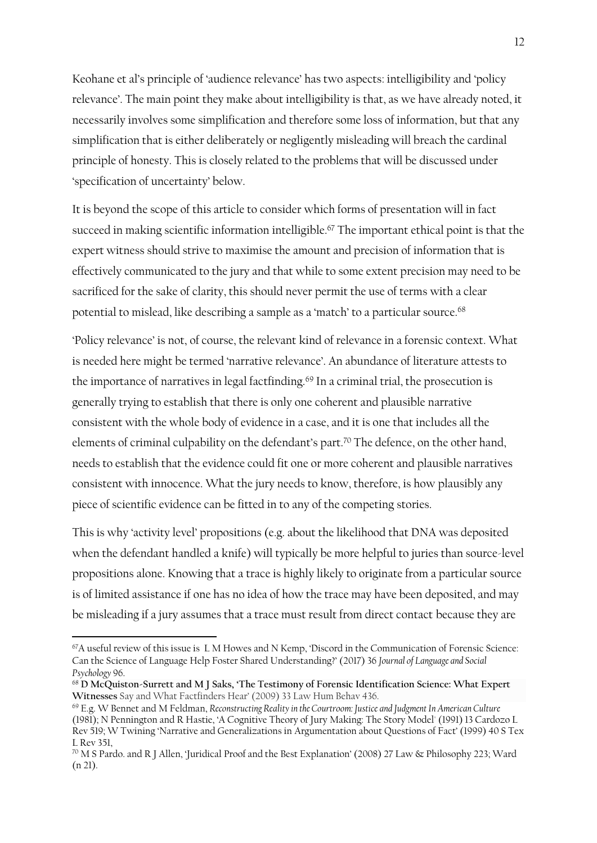Keohane et al's principle of 'audience relevance' has two aspects: intelligibility and 'policy relevance'. The main point they make about intelligibility is that, as we have already noted, it necessarily involves some simplification and therefore some loss of information, but that any simplification that is either deliberately or negligently misleading will breach the cardinal principle of honesty. This is closely related to the problems that will be discussed under 'specification of uncertainty' below.

It is beyond the scope of this article to consider which forms of presentation will in fact succeed in making scientific information intelligible. <sup>67</sup> The important ethical point is that the expert witness should strive to maximise the amount and precision of information that is effectively communicated to the jury and that while to some extent precision may need to be sacrificed for the sake of clarity, this should never permit the use of terms with a clear potential to mislead, like describing a sample as a 'match' to a particular source.<sup>68</sup>

'Policy relevance' is not, of course, the relevant kind of relevance in a forensic context. What is needed here might be termed 'narrative relevance'. An abundance of literature attests to the importance of narratives in legal factfinding.<sup>69</sup> In a criminal trial, the prosecution is generally trying to establish that there is only one coherent and plausible narrative consistent with the whole body of evidence in a case, and it is one that includes all the elements of criminal culpability on the defendant's part.<sup>70</sup> The defence, on the other hand, needs to establish that the evidence could fit one or more coherent and plausible narratives consistent with innocence. What the jury needs to know, therefore, is how plausibly any piece of scientific evidence can be fitted in to any of the competing stories.

This is why 'activity level' propositions (e.g. about the likelihood that DNA was deposited when the defendant handled a knife) will typically be more helpful to juries than source-level propositions alone. Knowing that a trace is highly likely to originate from a particular source is of limited assistance if one has no idea of how the trace may have been deposited, and may be misleading if a jury assumes that a trace must result from direct contact because they are

<sup>67</sup>A useful review of this issue is L M Howes and N Kemp, 'Discord in the Communication of Forensic Science: Can the Science of Language Help Foster Shared Understanding?' (2017) 36 *Journal of Language and Social Psychology* 96.

<sup>68</sup> **D McQuiston-Surrett and M J Saks, 'The Testimony of Forensic Identification Science: What Expert Witnesses** Say and What Factfinders Hear' (2009) 33 Law Hum Behav 436.

<sup>69</sup> E.g. W Bennet and M Feldman, *Reconstructing Reality in the Courtroom: Justice and Judgment In American Culture* (1981); N Pennington and R Hastie, 'A Cognitive Theory of Jury Making: The Story Model' (1991) 13 Cardozo L Rev 519; W Twining 'Narrative and Generalizations in Argumentation about Questions of Fact' (1999) 40 S Tex L Rev 351,

<sup>70</sup> M S Pardo. and R J Allen, 'Juridical Proof and the Best Explanation' (2008) 27 Law & Philosophy 223; Ward (n 21).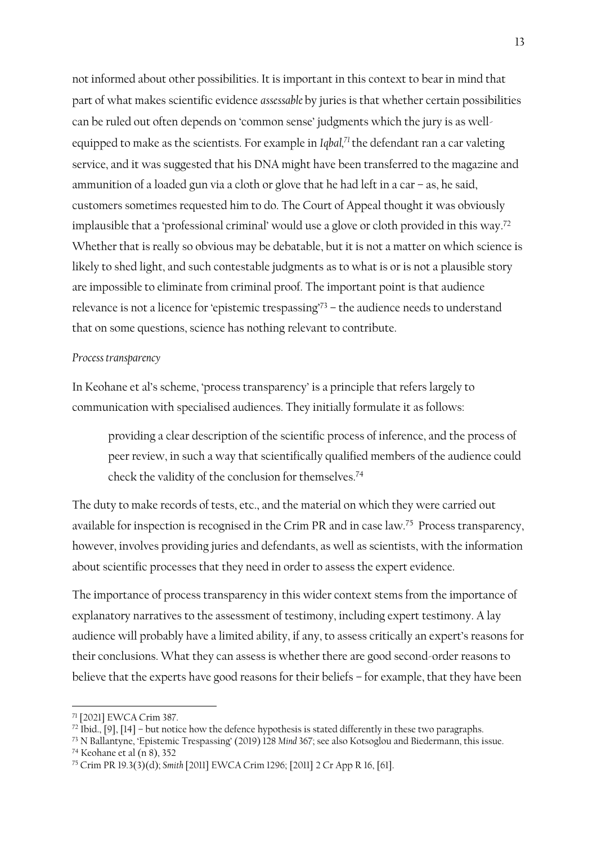not informed about other possibilities. It is important in this context to bear in mind that part of what makes scientific evidence *assessable* by juries is that whether certain possibilities can be ruled out often depends on 'common sense' judgments which the jury is as wellequipped to make as the scientists. For example in Iqbal, $7$  the defendant ran a car valeting service, and it was suggested that his DNA might have been transferred to the magazine and ammunition of a loaded gun via a cloth or glove that he had left in a car – as, he said, customers sometimes requested him to do. The Court of Appeal thought it was obviously implausible that a 'professional criminal' would use a glove or cloth provided in this way. 72 Whether that is really so obvious may be debatable, but it is not a matter on which science is likely to shed light, and such contestable judgments as to what is or is not a plausible story are impossible to eliminate from criminal proof. The important point is that audience relevance is not a licence for 'epistemic trespassing'<sup>73</sup> – the audience needs to understand that on some questions, science has nothing relevant to contribute.

### *Process transparency*

In Keohane et al's scheme, 'process transparency' is a principle that refers largely to communication with specialised audiences. They initially formulate it as follows:

providing a clear description of the scientific process of inference, and the process of peer review, in such a way that scientifically qualified members of the audience could check the validity of the conclusion for themselves.<sup>74</sup>

The duty to make records of tests, etc., and the material on which they were carried out available for inspection is recognised in the Crim PR and in case law.<sup>75</sup> Process transparency, however, involves providing juries and defendants, as well as scientists, with the information about scientific processes that they need in order to assess the expert evidence.

The importance of process transparency in this wider context stems from the importance of explanatory narratives to the assessment of testimony, including expert testimony. A lay audience will probably have a limited ability, if any, to assess critically an expert's reasons for their conclusions. What they can assess is whether there are good second-order reasons to believe that the experts have good reasons for their beliefs – for example, that they have been

<sup>73</sup> N Ballantyne, 'Epistemic Trespassing' (2019) 128 *Mind* 367; see also Kotsoglou and Biedermann, this issue.

<sup>74</sup> Keohane et al (n 8), 352

<sup>71</sup> [2021] EWCA Crim 387.

 $^{72}$  Ibid., [9], [14] – but notice how the defence hypothesis is stated differently in these two paragraphs.

<sup>75</sup> Crim PR 19.3(3)(d); *Smith* [2011] EWCA Crim 1296; [2011] 2 Cr App R 16, [61].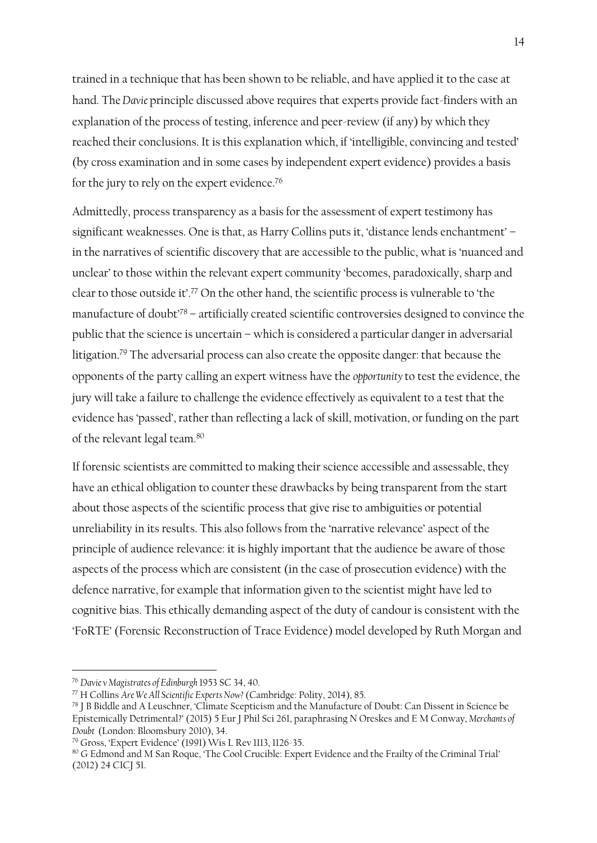trained in a technique that has been shown to be reliable, and have applied it to the case at hand. The*Davie* principle discussed above requires that experts provide fact-finders with an explanation of the process of testing, inference and peer-review (if any) by which they reached their conclusions. It is this explanation which, if 'intelligible, convincing and tested' (by cross examination and in some cases by independent expert evidence) provides a basis for the jury to rely on the expert evidence. 76

Admittedly, process transparency as a basis for the assessment of expert testimony has significant weaknesses. One is that, as Harry Collins puts it, 'distance lends enchantment' – in the narratives of scientific discovery that are accessible to the public, what is 'nuanced and unclear' to those within the relevant expert community 'becomes, paradoxically, sharp and clear to those outside it'. <sup>77</sup> On the other hand, the scientific process is vulnerable to 'the manufacture of doubt'<sup>78</sup> – artificially created scientific controversies designed to convince the public that the science is uncertain – which is considered a particular danger in adversarial litigation.<sup>79</sup> The adversarial process can also create the opposite danger: that because the opponents of the party calling an expert witness have the *opportunity* to test the evidence, the jury will take a failure to challenge the evidence effectively as equivalent to a test that the evidence has 'passed', rather than reflecting a lack of skill, motivation, or funding on the part of the relevant legal team.<sup>80</sup>

If forensic scientists are committed to making their science accessible and assessable, they have an ethical obligation to counter these drawbacks by being transparent from the start about those aspects of the scientific process that give rise to ambiguities or potential unreliability in its results. This also follows from the 'narrative relevance' aspect of the principle of audience relevance: it is highly important that the audience be aware of those aspects of the process which are consistent (in the case of prosecution evidence) with the defence narrative, for example that information given to the scientist might have led to cognitive bias. This ethically demanding aspect of the duty of candour is consistent with the 'FoRTE' (Forensic Reconstruction of Trace Evidence) model developed by Ruth Morgan and

<sup>76</sup> *Davie v Magistrates of Edinburgh* 1953 SC 34, 40.

<sup>77</sup> H Collins *Are We All Scientific Experts Now?*(Cambridge: Polity, 2014), 85.

<sup>78</sup> J B Biddle and A Leuschner, 'Climate Scepticism and the Manufacture of Doubt: Can Dissent in Science be Epistemically Detrimental?' (2015) 5 Eur J Phil Sci 261, paraphrasing N Oreskes and E M Conway, *Merchants of Doubt* (London: Bloomsbury 2010), 34.

<sup>79</sup> Gross, 'Expert Evidence' (1991) Wis L Rev 1113, 1126-35.

<sup>80</sup> G Edmond and M San Roque, 'The Cool Crucible: Expert Evidence and the Frailty of the Criminal Trial' (2012) 24 CICJ 51.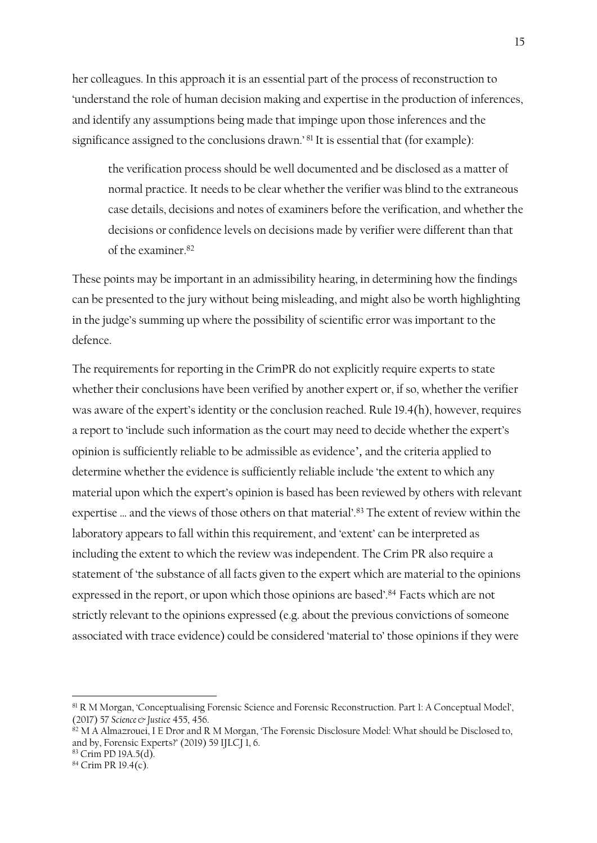her colleagues. In this approach it is an essential part of the process of reconstruction to 'understand the role of human decision making and expertise in the production of inferences, and identify any assumptions being made that impinge upon those inferences and the significance assigned to the conclusions drawn.' <sup>81</sup> It is essential that (for example):

the verification process should be well documented and be disclosed as a matter of normal practice. It needs to be clear whether the verifier was blind to the extraneous case details, decisions and notes of examiners before the verification, and whether the decisions or confidence levels on decisions made by verifier were different than that of the examiner. 82

These points may be important in an admissibility hearing, in determining how the findings can be presented to the jury without being misleading, and might also be worth highlighting in the judge's summing up where the possibility of scientific error was important to the defence.

The requirements for reporting in the CrimPR do not explicitly require experts to state whether their conclusions have been verified by another expert or, if so, whether the verifier was aware of the expert's identity or the conclusion reached. Rule 19.4(h), however, requires a report to 'include such information as the court may need to decide whether the expert's opinion is sufficiently reliable to be admissible as evidence', and the criteria applied to determine whether the evidence is sufficiently reliable include 'the extent to which any material upon which the expert's opinion is based has been reviewed by others with relevant expertise … and the views of those others on that material'. <sup>83</sup> The extent of review within the laboratory appears to fall within this requirement, and 'extent' can be interpreted as including the extent to which the review was independent. The Crim PR also require a statement of 'the substance of all facts given to the expert which are material to the opinions expressed in the report, or upon which those opinions are based'.<sup>84</sup> Facts which are not strictly relevant to the opinions expressed (e.g. about the previous convictions of someone associated with trace evidence) could be considered 'material to' those opinions if they were

<sup>81</sup> R M Morgan, 'Conceptualising Forensic Science and Forensic Reconstruction. Part 1: A Conceptual Model', (2017) 57 *Science & Justice* 455, 456.

 $82$  M A Almazrouei, I E Dror and R M Morgan, 'The Forensic Disclosure Model: What should be Disclosed to, and by, Forensic Experts?' (2019) 59 IJLCJ 1, 6.

<sup>83</sup> Crim PD 19A.5(d).

 $84$  Crim PR 19.4(c).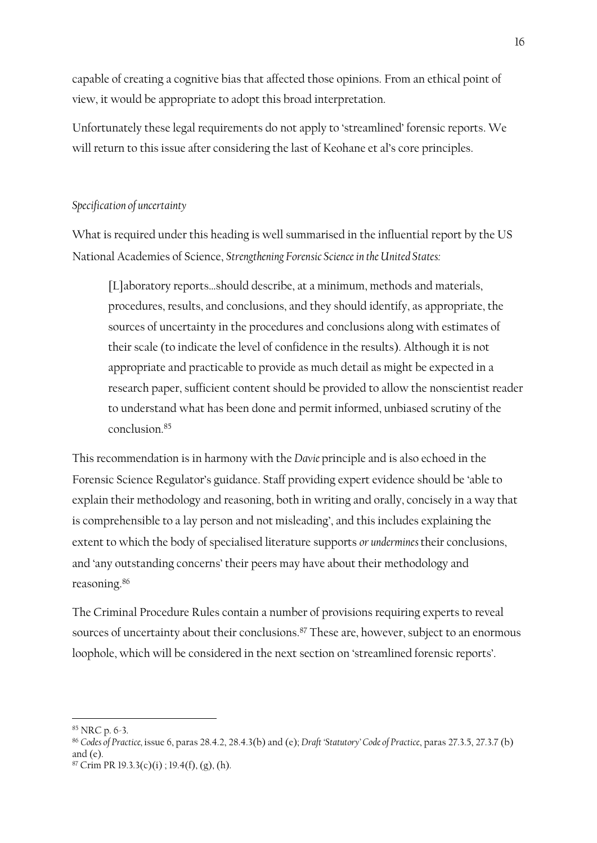capable of creating a cognitive bias that affected those opinions. From an ethical point of view, it would be appropriate to adopt this broad interpretation.

Unfortunately these legal requirements do not apply to 'streamlined' forensic reports. We will return to this issue after considering the last of Keohane et al's core principles.

# *Specification of uncertainty*

What is required under this heading is well summarised in the influential report by the US National Academies of Science, *Strengthening Forensic Science in the United States:*

[L]aboratory reports…should describe, at a minimum, methods and materials, procedures, results, and conclusions, and they should identify, as appropriate, the sources of uncertainty in the procedures and conclusions along with estimates of their scale (to indicate the level of confidence in the results). Although it is not appropriate and practicable to provide as much detail as might be expected in a research paper, sufficient content should be provided to allow the nonscientist reader to understand what has been done and permit informed, unbiased scrutiny of the conclusion<sup>85</sup>

This recommendation is in harmony with the *Davie* principle and is also echoed in the Forensic Science Regulator's guidance. Staff providing expert evidence should be 'able to explain their methodology and reasoning, both in writing and orally, concisely in a way that is comprehensible to a lay person and not misleading', and this includes explaining the extent to which the body of specialised literature supports *or undermines* their conclusions, and 'any outstanding concerns' their peers may have about their methodology and reasoning. 86

The Criminal Procedure Rules contain a number of provisions requiring experts to reveal sources of uncertainty about their conclusions. <sup>87</sup> These are, however, subject to an enormous loophole, which will be considered in the next section on 'streamlined forensic reports'.

<sup>85</sup> NRC p. 6-3.

<sup>86</sup> *Codes of Practice,* issue 6, paras 28.4.2, 28.4.3(b) and (e); *Draft 'Statutory' Code of Practice*, paras 27.3.5, 27.3.7 (b) and  $(e)$ .

 $87$  Crim PR 19.3.3(c)(i); 19.4(f), (g), (h).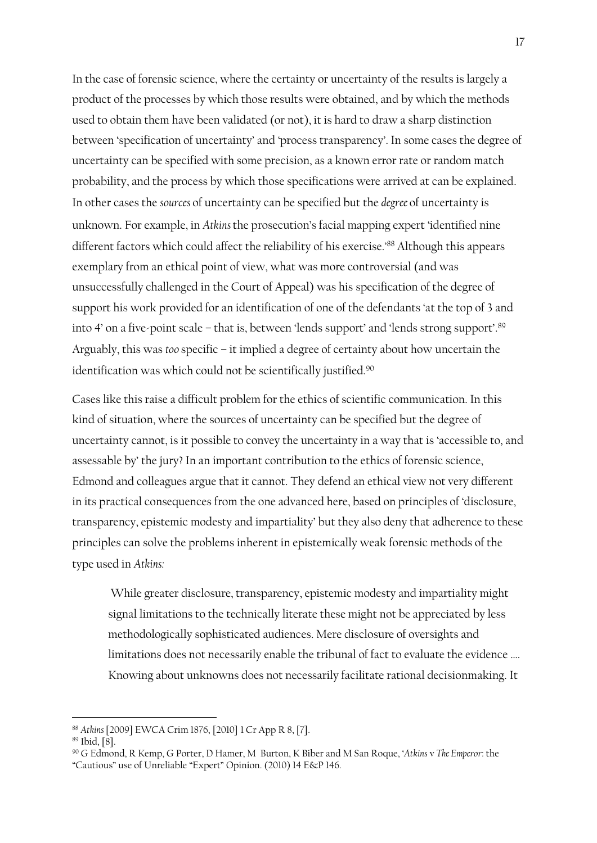In the case of forensic science, where the certainty or uncertainty of the results is largely a product of the processes by which those results were obtained, and by which the methods used to obtain them have been validated (or not), it is hard to draw a sharp distinction between 'specification of uncertainty' and 'process transparency'. In some cases the degree of uncertainty can be specified with some precision, as a known error rate or random match probability, and the process by which those specifications were arrived at can be explained. In other cases the *sources* of uncertainty can be specified but the *degree* of uncertainty is unknown. For example, in *Atkins* the prosecution's facial mapping expert 'identified nine different factors which could affect the reliability of his exercise.' <sup>88</sup> Although this appears exemplary from an ethical point of view, what was more controversial (and was unsuccessfully challenged in the Court of Appeal) was his specification of the degree of support his work provided for an identification of one of the defendants 'at the top of 3 and into 4' on a five-point scale – that is, between 'lends support' and 'lends strong support'. 89 Arguably, this was *too* specific – it implied a degree of certainty about how uncertain the identification was which could not be scientifically justified.<sup>90</sup>

Cases like this raise a difficult problem for the ethics of scientific communication. In this kind of situation, where the sources of uncertainty can be specified but the degree of uncertainty cannot, is it possible to convey the uncertainty in a way that is 'accessible to, and assessable by' the jury? In an important contribution to the ethics of forensic science, Edmond and colleagues argue that it cannot. They defend an ethical view not very different in its practical consequences from the one advanced here, based on principles of 'disclosure, transparency, epistemic modesty and impartiality' but they also deny that adherence to these principles can solve the problems inherent in epistemically weak forensic methods of the type used in *Atkins:*

While greater disclosure, transparency, epistemic modesty and impartiality might signal limitations to the technically literate these might not be appreciated by less methodologically sophisticated audiences. Mere disclosure of oversights and limitations does not necessarily enable the tribunal of fact to evaluate the evidence …. Knowing about unknowns does not necessarily facilitate rational decisionmaking. It

<sup>88</sup> *Atkins* [2009] EWCA Crim 1876, [2010] 1 Cr App R 8, [7].

<sup>89</sup> Ibid, [8].

<sup>90</sup> G Edmond, R Kemp, G Porter, D Hamer, M Burton, K Biber and M San Roque, '*Atkins* v *The Emperor*: the "Cautious" use of Unreliable "Expert" Opinion. (2010) 14 E&P 146.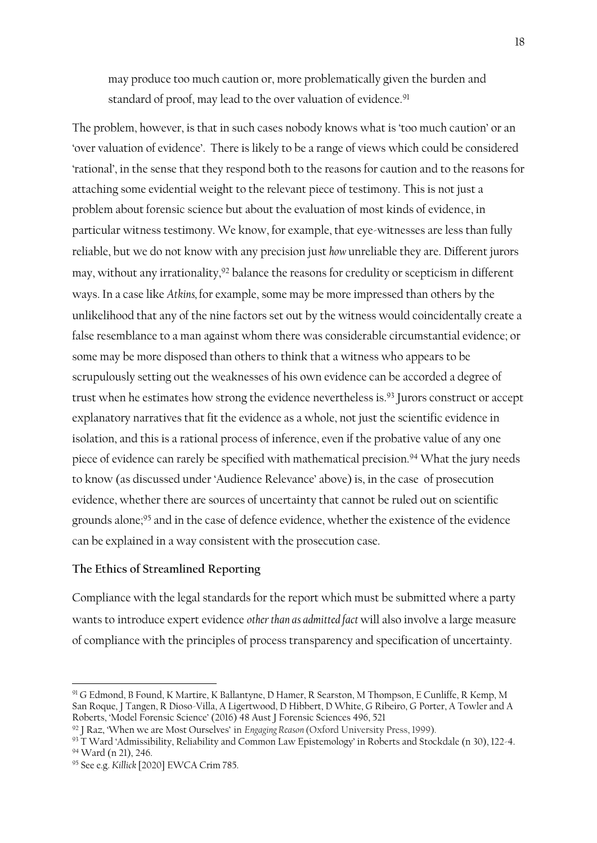may produce too much caution or, more problematically given the burden and standard of proof, may lead to the over valuation of evidence.<sup>91</sup>

The problem, however, is that in such cases nobody knows what is 'too much caution' or an 'over valuation of evidence'. There is likely to be a range of views which could be considered 'rational', in the sense that they respond both to the reasons for caution and to the reasons for attaching some evidential weight to the relevant piece of testimony. This is not just a problem about forensic science but about the evaluation of most kinds of evidence, in particular witness testimony. We know, for example, that eye-witnesses are less than fully reliable, but we do not know with any precision just *how* unreliable they are. Different jurors may, without any irrationality,<sup>92</sup> balance the reasons for credulity or scepticism in different ways. In a case like *Atkins,* for example, some may be more impressed than others by the unlikelihood that any of the nine factors set out by the witness would coincidentally create a false resemblance to a man against whom there was considerable circumstantial evidence; or some may be more disposed than others to think that a witness who appears to be scrupulously setting out the weaknesses of his own evidence can be accorded a degree of trust when he estimates how strong the evidence nevertheless is. <sup>93</sup> Jurors construct or accept explanatory narratives that fit the evidence as a whole, not just the scientific evidence in isolation, and this is a rational process of inference, even if the probative value of any one piece of evidence can rarely be specified with mathematical precision.<sup>94</sup> What the jury needs to know (as discussed under 'Audience Relevance' above) is, in the case of prosecution evidence, whether there are sources of uncertainty that cannot be ruled out on scientific grounds alone; <sup>95</sup> and in the case of defence evidence, whether the existence of the evidence can be explained in a way consistent with the prosecution case.

#### **The Ethics of Streamlined Reporting**

Compliance with the legal standards for the report which must be submitted where a party wants to introduce expert evidence *other than as admitted fact* will also involve a large measure of compliance with the principles of process transparency and specification of uncertainty.

<sup>91</sup> G Edmond, B Found, K Martire, K Ballantyne, D Hamer, R Searston, M Thompson, E Cunliffe, R Kemp, M San Roque, J Tangen, R Dioso-Villa, A Ligertwood, D Hibbert, D White, G Ribeiro, G Porter, A Towler and A Roberts, 'Model Forensic Science' (2016) 48 Aust J Forensic Sciences 496, 521

<sup>92</sup> J Raz, 'When we are Most Ourselves' in *Engaging Reason* (Oxford University Press, 1999).

<sup>93</sup> T Ward 'Admissibility, Reliability and Common Law Epistemology' in Roberts and Stockdale (n 30), 122-4. <sup>94</sup> Ward (n 21), 246.

<sup>95</sup> See e.g. *Killick* [2020] EWCA Crim 785.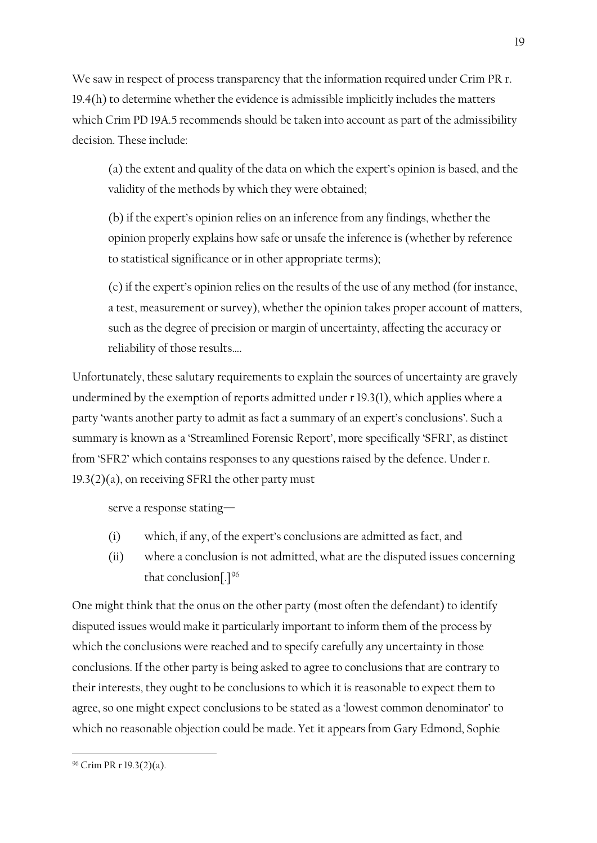We saw in respect of process transparency that the information required under Crim PR r. 19.4(h) to determine whether the evidence is admissible implicitly includes the matters which Crim PD 19A.5 recommends should be taken into account as part of the admissibility decision. These include:

(a) the extent and quality of the data on which the expert's opinion is based, and the validity of the methods by which they were obtained;

(b) if the expert's opinion relies on an inference from any findings, whether the opinion properly explains how safe or unsafe the inference is (whether by reference to statistical significance or in other appropriate terms);

(c) if the expert's opinion relies on the results of the use of any method (for instance, a test, measurement or survey), whether the opinion takes proper account of matters, such as the degree of precision or margin of uncertainty, affecting the accuracy or reliability of those results….

Unfortunately, these salutary requirements to explain the sources of uncertainty are gravely undermined by the exemption of reports admitted under r 19.3(1), which applies where a party 'wants another party to admit as fact a summary of an expert's conclusions'. Such a summary is known as a 'Streamlined Forensic Report', more specifically 'SFR1', as distinct from 'SFR2' which contains responses to any questions raised by the defence. Under r.  $19.3(2)(a)$ , on receiving SFR1 the other party must

serve a response stating—

- (i) which, if any, of the expert's conclusions are admitted as fact, and
- (ii) where a conclusion is not admitted, what are the disputed issues concerning that conclusion[.]<sup>96</sup>

One might think that the onus on the other party (most often the defendant) to identify disputed issues would make it particularly important to inform them of the process by which the conclusions were reached and to specify carefully any uncertainty in those conclusions. If the other party is being asked to agree to conclusions that are contrary to their interests, they ought to be conclusions to which it is reasonable to expect them to agree, so one might expect conclusions to be stated as a 'lowest common denominator' to which no reasonable objection could be made. Yet it appears from Gary Edmond, Sophie

<sup>96</sup> Crim PR r 19.3(2)(a).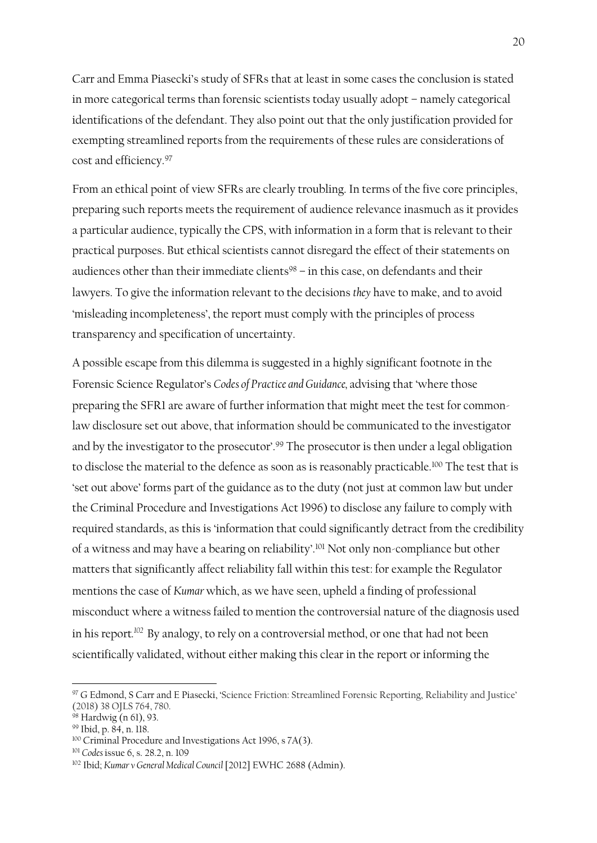Carr and Emma Piasecki's study of SFRs that at least in some cases the conclusion is stated in more categorical terms than forensic scientists today usually adopt – namely categorical identifications of the defendant. They also point out that the only justification provided for exempting streamlined reports from the requirements of these rules are considerations of cost and efficiency.<sup>97</sup>

From an ethical point of view SFRs are clearly troubling. In terms of the five core principles, preparing such reports meets the requirement of audience relevance inasmuch as it provides a particular audience, typically the CPS, with information in a form that is relevant to their practical purposes. But ethical scientists cannot disregard the effect of their statements on audiences other than their immediate clients $98 -$  in this case, on defendants and their lawyers. To give the information relevant to the decisions *they* have to make, and to avoid 'misleading incompleteness', the report must comply with the principles of process transparency and specification of uncertainty.

A possible escape from this dilemma is suggested in a highly significant footnote in the Forensic Science Regulator's *Codes of Practice and Guidance,* advising that 'where those preparing the SFR1 are aware of further information that might meet the test for commonlaw disclosure set out above, that information should be communicated to the investigator and by the investigator to the prosecutor'.<sup>99</sup> The prosecutor is then under a legal obligation to disclose the material to the defence as soon as is reasonably practicable.<sup>100</sup> The test that is 'set out above' forms part of the guidance as to the duty (not just at common law but under the Criminal Procedure and Investigations Act 1996) to disclose any failure to comply with required standards, as this is 'information that could significantly detract from the credibility of a witness and may have a bearing on reliability'.<sup>101</sup> Not only non-compliance but other matters that significantly affect reliability fall within this test: for example the Regulator mentions the case of *Kumar* which, as we have seen, upheld a finding of professional misconduct where a witness failed to mention the controversial nature of the diagnosis used in his report.<sup>102</sup> By analogy, to rely on a controversial method, or one that had not been scientifically validated, without either making this clear in the report or informing the

<sup>97</sup> G Edmond, S Carr and E Piasecki, 'Science Friction: Streamlined Forensic Reporting, Reliability and Justice' (2018) 38 OJLS 764, 780.

 $98$  Hardwig (n 61), 93.

<sup>99</sup> Ibid, p. 84, n. 118.

<sup>&</sup>lt;sup>100</sup> Criminal Procedure and Investigations Act 1996, s 7A(3).

<sup>101</sup> *Codes* issue 6, s. 28.2, n. 109

<sup>102</sup> Ibid; *Kumar v General Medical Council* [2012] EWHC 2688 (Admin).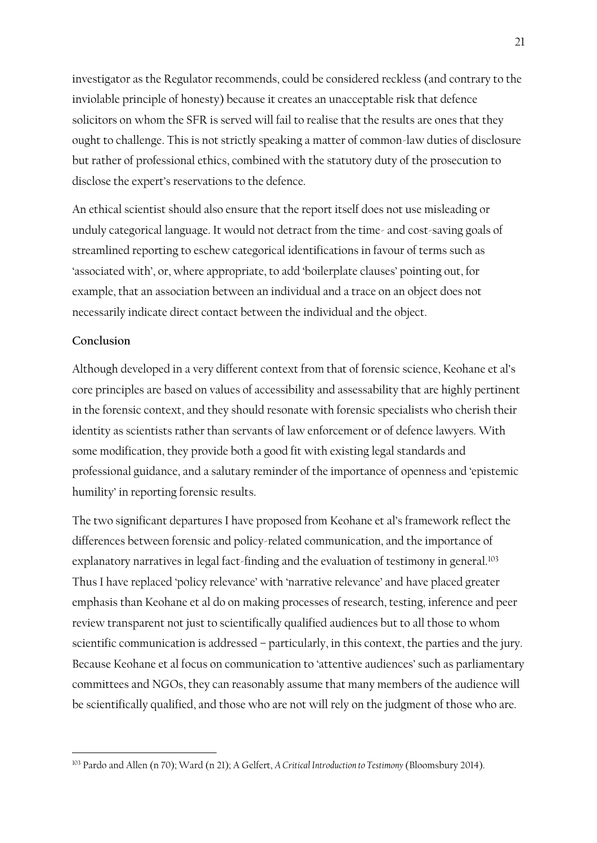investigator as the Regulator recommends, could be considered reckless (and contrary to the inviolable principle of honesty) because it creates an unacceptable risk that defence solicitors on whom the SFR is served will fail to realise that the results are ones that they ought to challenge. This is not strictly speaking a matter of common-law duties of disclosure but rather of professional ethics, combined with the statutory duty of the prosecution to disclose the expert's reservations to the defence.

An ethical scientist should also ensure that the report itself does not use misleading or unduly categorical language. It would not detract from the time- and cost-saving goals of streamlined reporting to eschew categorical identifications in favour of terms such as 'associated with', or, where appropriate, to add 'boilerplate clauses' pointing out, for example, that an association between an individual and a trace on an object does not necessarily indicate direct contact between the individual and the object.

## **Conclusion**

Although developed in a very different context from that of forensic science, Keohane et al's core principles are based on values of accessibility and assessability that are highly pertinent in the forensic context, and they should resonate with forensic specialists who cherish their identity as scientists rather than servants of law enforcement or of defence lawyers. With some modification, they provide both a good fit with existing legal standards and professional guidance, and a salutary reminder of the importance of openness and 'epistemic humility' in reporting forensic results.

The two significant departures I have proposed from Keohane et al's framework reflect the differences between forensic and policy-related communication, and the importance of explanatory narratives in legal fact-finding and the evaluation of testimony in general.<sup>103</sup> Thus I have replaced 'policy relevance' with 'narrative relevance' and have placed greater emphasis than Keohane et al do on making processes of research, testing, inference and peer review transparent not just to scientifically qualified audiences but to all those to whom scientific communication is addressed – particularly, in this context, the parties and the jury. Because Keohane et al focus on communication to 'attentive audiences' such as parliamentary committees and NGOs, they can reasonably assume that many members of the audience will be scientifically qualified, and those who are not will rely on the judgment of those who are.

<sup>103</sup> Pardo and Allen (n 70); Ward (n 21); A Gelfert, *A Critical Introduction to Testimony* (Bloomsbury 2014).